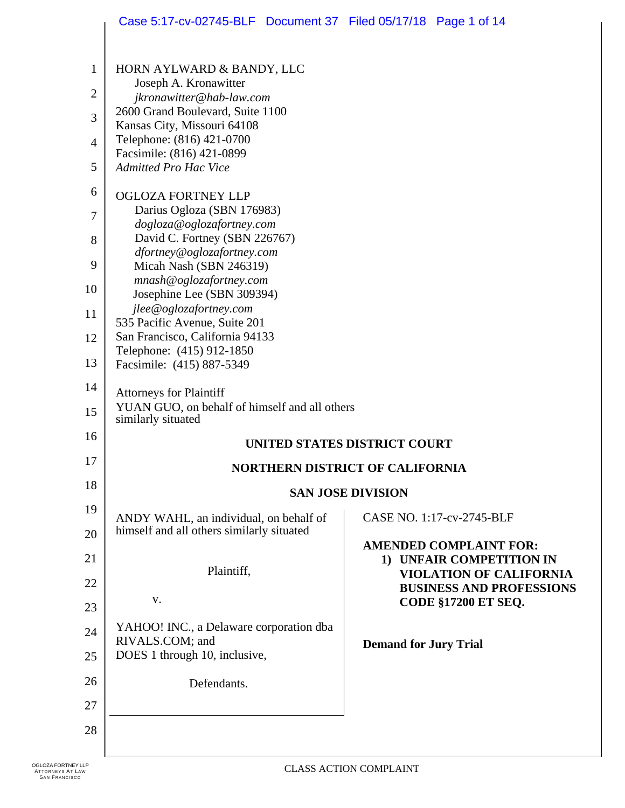### Case 5:17-cv-02745-BLF Document 37 Filed 05/17/18 Page 1 of 14

| $\mathbf{1}$<br>$\overline{c}$<br>3<br>$\overline{4}$<br>5<br>6<br>7<br>8<br>9<br>10 | HORN AYLWARD & BANDY, LLC<br>Joseph A. Kronawitter<br>jkronawitter@hab-law.com<br>2600 Grand Boulevard, Suite 1100<br>Kansas City, Missouri 64108<br>Telephone: (816) 421-0700<br>Facsimile: (816) 421-0899<br><b>Admitted Pro Hac Vice</b><br><b>OGLOZA FORTNEY LLP</b><br>Darius Ogloza (SBN 176983)<br>dogloza@oglozafortney.com<br>David C. Fortney (SBN 226767)<br>dfortney@oglozafortney.com<br>Micah Nash (SBN 246319)<br>mnash@oglozafortney.com<br>Josephine Lee (SBN 309394)<br>jlee@oglozafortney.com |                                                            |  |
|--------------------------------------------------------------------------------------|------------------------------------------------------------------------------------------------------------------------------------------------------------------------------------------------------------------------------------------------------------------------------------------------------------------------------------------------------------------------------------------------------------------------------------------------------------------------------------------------------------------|------------------------------------------------------------|--|
| 11                                                                                   | 535 Pacific Avenue, Suite 201                                                                                                                                                                                                                                                                                                                                                                                                                                                                                    |                                                            |  |
| 12                                                                                   | San Francisco, California 94133<br>Telephone: (415) 912-1850                                                                                                                                                                                                                                                                                                                                                                                                                                                     |                                                            |  |
| 13                                                                                   | Facsimile: (415) 887-5349                                                                                                                                                                                                                                                                                                                                                                                                                                                                                        |                                                            |  |
| 14<br>15                                                                             | <b>Attorneys for Plaintiff</b><br>YUAN GUO, on behalf of himself and all others<br>similarly situated                                                                                                                                                                                                                                                                                                                                                                                                            |                                                            |  |
| 16                                                                                   | UNITED STATES DISTRICT COURT                                                                                                                                                                                                                                                                                                                                                                                                                                                                                     |                                                            |  |
| 17                                                                                   | <b>NORTHERN DISTRICT OF CALIFORNIA</b>                                                                                                                                                                                                                                                                                                                                                                                                                                                                           |                                                            |  |
| 18                                                                                   | <b>SAN JOSE DIVISION</b>                                                                                                                                                                                                                                                                                                                                                                                                                                                                                         |                                                            |  |
| 19                                                                                   | ANDY WAHL, an individual, on behalf of                                                                                                                                                                                                                                                                                                                                                                                                                                                                           | CASE NO. 1:17-cv-2745-BLF                                  |  |
| 20                                                                                   | himself and all others similarly situated                                                                                                                                                                                                                                                                                                                                                                                                                                                                        | <b>AMENDED COMPLAINT FOR:</b>                              |  |
| 21                                                                                   | Plaintiff,                                                                                                                                                                                                                                                                                                                                                                                                                                                                                                       | 1) UNFAIR COMPETITION IN<br><b>VIOLATION OF CALIFORNIA</b> |  |
| 22                                                                                   | V.                                                                                                                                                                                                                                                                                                                                                                                                                                                                                                               | <b>BUSINESS AND PROFESSIONS</b>                            |  |
| 23                                                                                   |                                                                                                                                                                                                                                                                                                                                                                                                                                                                                                                  | <b>CODE §17200 ET SEQ.</b>                                 |  |
| 24                                                                                   | YAHOO! INC., a Delaware corporation dba<br>RIVALS.COM; and                                                                                                                                                                                                                                                                                                                                                                                                                                                       | <b>Demand for Jury Trial</b>                               |  |
| 25                                                                                   | DOES 1 through 10, inclusive,                                                                                                                                                                                                                                                                                                                                                                                                                                                                                    |                                                            |  |
| 26                                                                                   | Defendants.                                                                                                                                                                                                                                                                                                                                                                                                                                                                                                      |                                                            |  |
| 27                                                                                   |                                                                                                                                                                                                                                                                                                                                                                                                                                                                                                                  |                                                            |  |
| 28                                                                                   |                                                                                                                                                                                                                                                                                                                                                                                                                                                                                                                  |                                                            |  |
|                                                                                      |                                                                                                                                                                                                                                                                                                                                                                                                                                                                                                                  |                                                            |  |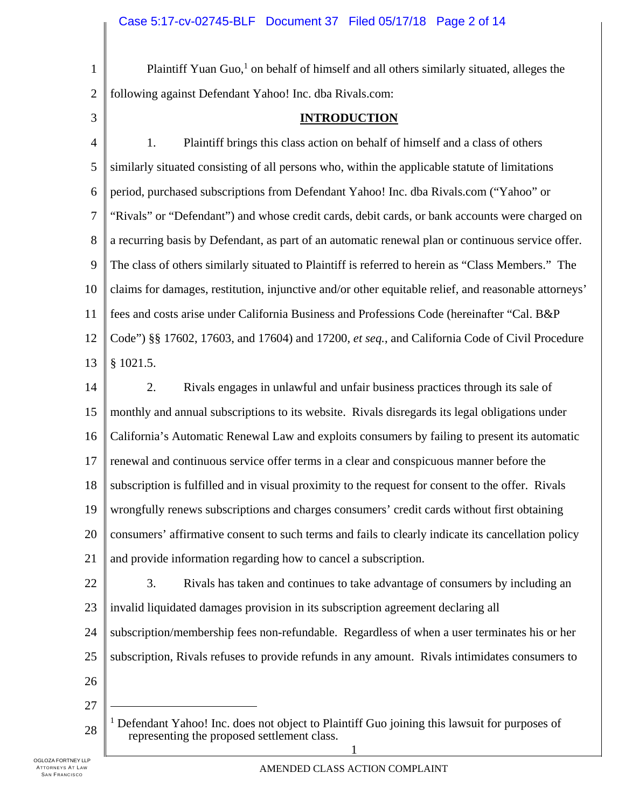- 1 2 Plaintiff Yuan Guo,<sup>1</sup> on behalf of himself and all others similarly situated, alleges the following against Defendant Yahoo! Inc. dba Rivals.com:
- 3

#### **INTRODUCTION**

4 5 6 7 8 9 10 11 12 13 1. Plaintiff brings this class action on behalf of himself and a class of others similarly situated consisting of all persons who, within the applicable statute of limitations period, purchased subscriptions from Defendant Yahoo! Inc. dba Rivals.com ("Yahoo" or "Rivals" or "Defendant") and whose credit cards, debit cards, or bank accounts were charged on a recurring basis by Defendant, as part of an automatic renewal plan or continuous service offer. The class of others similarly situated to Plaintiff is referred to herein as "Class Members." The claims for damages, restitution, injunctive and/or other equitable relief, and reasonable attorneys' fees and costs arise under California Business and Professions Code (hereinafter "Cal. B&P Code") §§ 17602, 17603, and 17604) and 17200, *et seq.*, and California Code of Civil Procedure § 1021.5.

- 14 15 16 17 18 19 20 21 2. Rivals engages in unlawful and unfair business practices through its sale of monthly and annual subscriptions to its website. Rivals disregards its legal obligations under California's Automatic Renewal Law and exploits consumers by failing to present its automatic renewal and continuous service offer terms in a clear and conspicuous manner before the subscription is fulfilled and in visual proximity to the request for consent to the offer. Rivals wrongfully renews subscriptions and charges consumers' credit cards without first obtaining consumers' affirmative consent to such terms and fails to clearly indicate its cancellation policy and provide information regarding how to cancel a subscription.
- 22 23 24 3. Rivals has taken and continues to take advantage of consumers by including an invalid liquidated damages provision in its subscription agreement declaring all subscription/membership fees non-refundable. Regardless of when a user terminates his or her
- 25 subscription, Rivals refuses to provide refunds in any amount. Rivals intimidates consumers to
- 26
- 27

 $\overline{a}$ 

28 <sup>1</sup> Defendant Yahoo! Inc. does not object to Plaintiff Guo joining this lawsuit for purposes of representing the proposed settlement class.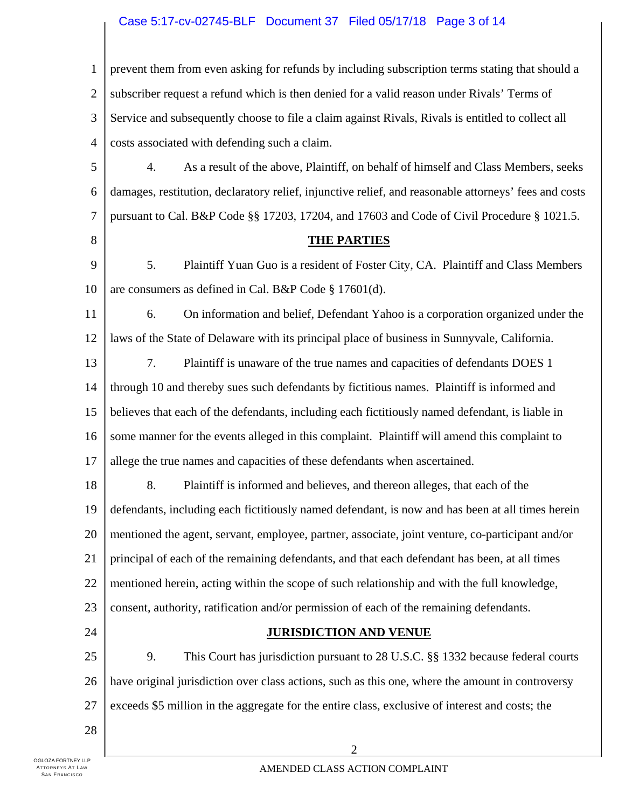## Case 5:17-cv-02745-BLF Document 37 Filed 05/17/18 Page 3 of 14

| $\mathbf{1}$   | prevent them from even asking for refunds by including subscription terms stating that should a       |  |  |
|----------------|-------------------------------------------------------------------------------------------------------|--|--|
| $\mathbf{2}$   | subscriber request a refund which is then denied for a valid reason under Rivals' Terms of            |  |  |
| 3              | Service and subsequently choose to file a claim against Rivals, Rivals is entitled to collect all     |  |  |
| $\overline{4}$ | costs associated with defending such a claim.                                                         |  |  |
| 5              | 4.<br>As a result of the above, Plaintiff, on behalf of himself and Class Members, seeks              |  |  |
| 6              | damages, restitution, declaratory relief, injunctive relief, and reasonable attorneys' fees and costs |  |  |
| 7              | pursuant to Cal. B&P Code §§ 17203, 17204, and 17603 and Code of Civil Procedure § 1021.5.            |  |  |
| 8              | <b>THE PARTIES</b>                                                                                    |  |  |
| 9              | 5.<br>Plaintiff Yuan Guo is a resident of Foster City, CA. Plaintiff and Class Members                |  |  |
| 10             | are consumers as defined in Cal. B&P Code § 17601(d).                                                 |  |  |
| 11             | 6.<br>On information and belief, Defendant Yahoo is a corporation organized under the                 |  |  |
| 12             | laws of the State of Delaware with its principal place of business in Sunnyvale, California.          |  |  |
| 13             | 7.<br>Plaintiff is unaware of the true names and capacities of defendants DOES 1                      |  |  |
| 14             | through 10 and thereby sues such defendants by fictitious names. Plaintiff is informed and            |  |  |
| 15             | believes that each of the defendants, including each fictitiously named defendant, is liable in       |  |  |
| 16             | some manner for the events alleged in this complaint. Plaintiff will amend this complaint to          |  |  |
| 17             | allege the true names and capacities of these defendants when ascertained.                            |  |  |
| 18             | 8.<br>Plaintiff is informed and believes, and thereon alleges, that each of the                       |  |  |
| 19             | defendants, including each fictitiously named defendant, is now and has been at all times herein      |  |  |
| 20             | mentioned the agent, servant, employee, partner, associate, joint venture, co-participant and/or      |  |  |
| 21             | principal of each of the remaining defendants, and that each defendant has been, at all times         |  |  |
| 22             | mentioned herein, acting within the scope of such relationship and with the full knowledge,           |  |  |
| 23             | consent, authority, ratification and/or permission of each of the remaining defendants.               |  |  |
| 24             | <b>JURISDICTION AND VENUE</b>                                                                         |  |  |
| 25             | 9.<br>This Court has jurisdiction pursuant to 28 U.S.C. §§ 1332 because federal courts                |  |  |
| 26             | have original jurisdiction over class actions, such as this one, where the amount in controversy      |  |  |
| 27             | exceeds \$5 million in the aggregate for the entire class, exclusive of interest and costs; the       |  |  |
| 28             |                                                                                                       |  |  |
|                | $\overline{2}$                                                                                        |  |  |

 $\mathbb{L}$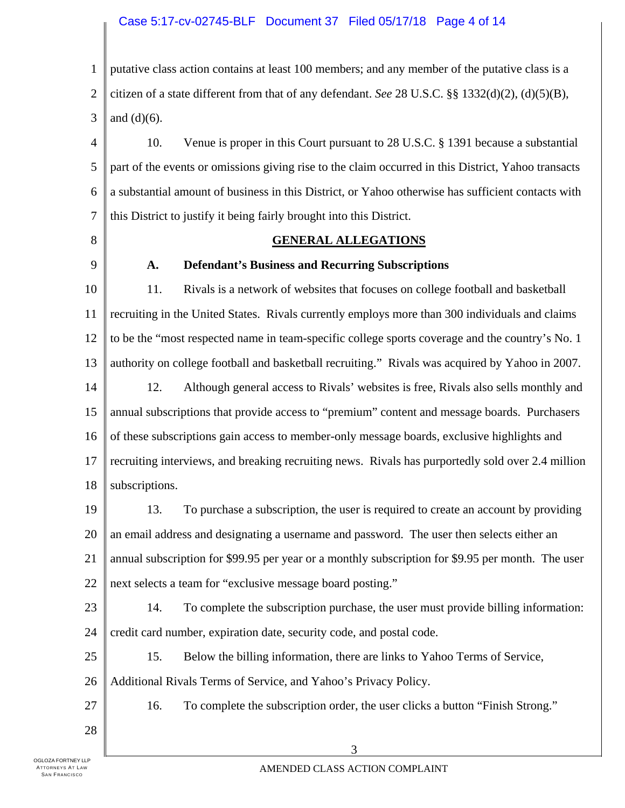#### Case 5:17-cv-02745-BLF Document 37 Filed 05/17/18 Page 4 of 14

1 2 3 putative class action contains at least 100 members; and any member of the putative class is a citizen of a state different from that of any defendant. *See* 28 U.S.C. §§ 1332(d)(2), (d)(5)(B), and  $(d)(6)$ .

4 5 6 7 10. Venue is proper in this Court pursuant to 28 U.S.C. § 1391 because a substantial part of the events or omissions giving rise to the claim occurred in this District, Yahoo transacts a substantial amount of business in this District, or Yahoo otherwise has sufficient contacts with this District to justify it being fairly brought into this District.

8

#### **GENERAL ALLEGATIONS**

9

#### **A. Defendant's Business and Recurring Subscriptions**

10 11 12 13 14 15 16 17 18 11. Rivals is a network of websites that focuses on college football and basketball recruiting in the United States. Rivals currently employs more than 300 individuals and claims to be the "most respected name in team-specific college sports coverage and the country's No. 1 authority on college football and basketball recruiting." Rivals was acquired by Yahoo in 2007. 12. Although general access to Rivals' websites is free, Rivals also sells monthly and annual subscriptions that provide access to "premium" content and message boards. Purchasers of these subscriptions gain access to member-only message boards, exclusive highlights and recruiting interviews, and breaking recruiting news. Rivals has purportedly sold over 2.4 million subscriptions.

19 20 21 22 13. To purchase a subscription, the user is required to create an account by providing an email address and designating a username and password. The user then selects either an annual subscription for \$99.95 per year or a monthly subscription for \$9.95 per month. The user next selects a team for "exclusive message board posting."

23 24 14. To complete the subscription purchase, the user must provide billing information: credit card number, expiration date, security code, and postal code.

25 15. Below the billing information, there are links to Yahoo Terms of Service,

26 Additional Rivals Terms of Service, and Yahoo's Privacy Policy.

16. To complete the subscription order, the user clicks a button "Finish Strong."

28

27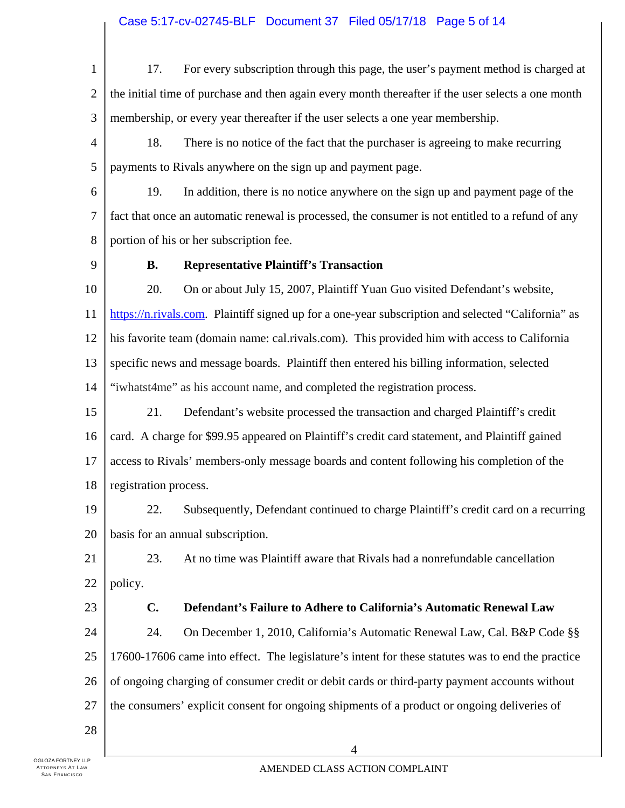1 2 3 4 5 6 7 8 9 10 11 12 13 14 15 16 17 18 19 20 21 22 23 24 25 26 27 28 17. For every subscription through this page, the user's payment method is charged at the initial time of purchase and then again every month thereafter if the user selects a one month membership, or every year thereafter if the user selects a one year membership. 18. There is no notice of the fact that the purchaser is agreeing to make recurring payments to Rivals anywhere on the sign up and payment page. 19. In addition, there is no notice anywhere on the sign up and payment page of the fact that once an automatic renewal is processed, the consumer is not entitled to a refund of any portion of his or her subscription fee. **B. Representative Plaintiff's Transaction** 20. On or about July 15, 2007, Plaintiff Yuan Guo visited Defendant's website, https://n.rivals.com. Plaintiff signed up for a one-year subscription and selected "California" as his favorite team (domain name: cal.rivals.com). This provided him with access to California specific news and message boards. Plaintiff then entered his billing information, selected "iwhatst4me" as his account name, and completed the registration process. 21. Defendant's website processed the transaction and charged Plaintiff's credit card. A charge for \$99.95 appeared on Plaintiff's credit card statement, and Plaintiff gained access to Rivals' members-only message boards and content following his completion of the registration process. 22. Subsequently, Defendant continued to charge Plaintiff's credit card on a recurring basis for an annual subscription. 23. At no time was Plaintiff aware that Rivals had a nonrefundable cancellation policy. **C. Defendant's Failure to Adhere to California's Automatic Renewal Law**  24. On December 1, 2010, California's Automatic Renewal Law, Cal. B&P Code §§ 17600-17606 came into effect. The legislature's intent for these statutes was to end the practice of ongoing charging of consumer credit or debit cards or third-party payment accounts without the consumers' explicit consent for ongoing shipments of a product or ongoing deliveries of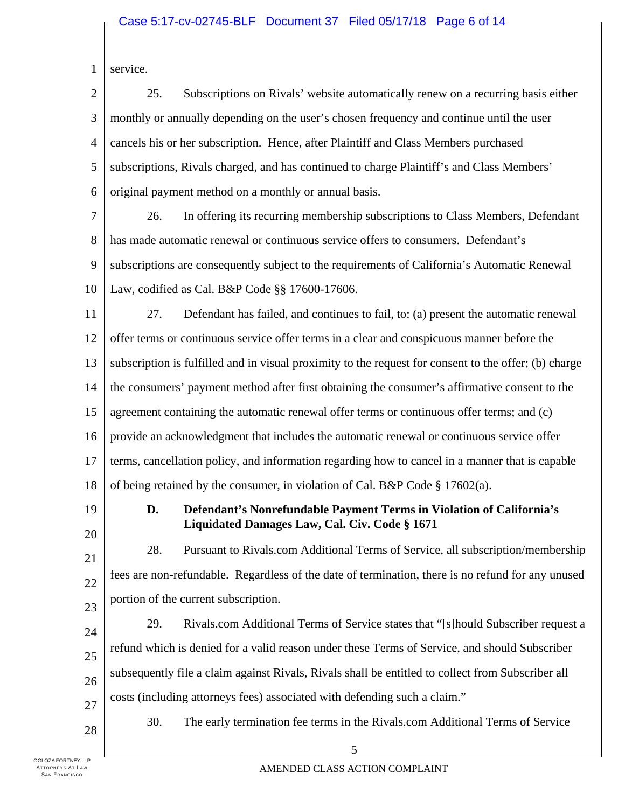| service. |
|----------|
|          |

| $\overline{2}$ | 25.<br>Subscriptions on Rivals' website automatically renew on a recurring basis either                                     |  |  |
|----------------|-----------------------------------------------------------------------------------------------------------------------------|--|--|
| 3              | monthly or annually depending on the user's chosen frequency and continue until the user                                    |  |  |
| $\overline{4}$ | cancels his or her subscription. Hence, after Plaintiff and Class Members purchased                                         |  |  |
| 5              | subscriptions, Rivals charged, and has continued to charge Plaintiff's and Class Members'                                   |  |  |
| 6              | original payment method on a monthly or annual basis.                                                                       |  |  |
| 7              | In offering its recurring membership subscriptions to Class Members, Defendant<br>26.                                       |  |  |
| 8              | has made automatic renewal or continuous service offers to consumers. Defendant's                                           |  |  |
| 9              | subscriptions are consequently subject to the requirements of California's Automatic Renewal                                |  |  |
| 10             | Law, codified as Cal. B&P Code §§ 17600-17606.                                                                              |  |  |
| 11             | 27.<br>Defendant has failed, and continues to fail, to: (a) present the automatic renewal                                   |  |  |
| 12             | offer terms or continuous service offer terms in a clear and conspicuous manner before the                                  |  |  |
| 13             | subscription is fulfilled and in visual proximity to the request for consent to the offer; (b) charge                       |  |  |
| 14             | the consumers' payment method after first obtaining the consumer's affirmative consent to the                               |  |  |
| 15             | agreement containing the automatic renewal offer terms or continuous offer terms; and (c)                                   |  |  |
| 16             | provide an acknowledgment that includes the automatic renewal or continuous service offer                                   |  |  |
| 17             | terms, cancellation policy, and information regarding how to cancel in a manner that is capable                             |  |  |
| 18             | of being retained by the consumer, in violation of Cal. B&P Code $\S 17602(a)$ .                                            |  |  |
| 19             | D.<br>Defendant's Nonrefundable Payment Terms in Violation of California's<br>Liquidated Damages Law, Cal. Civ. Code § 1671 |  |  |
| 20             | 28.<br>Pursuant to Rivals.com Additional Terms of Service, all subscription/membership                                      |  |  |
| 21<br>22       | fees are non-refundable. Regardless of the date of termination, there is no refund for any unused                           |  |  |
| 23             | portion of the current subscription.                                                                                        |  |  |
| 24             | 29.<br>Rivals.com Additional Terms of Service states that "[s] hould Subscriber request a                                   |  |  |
| 25             | refund which is denied for a valid reason under these Terms of Service, and should Subscriber                               |  |  |
| 26             | subsequently file a claim against Rivals, Rivals shall be entitled to collect from Subscriber all                           |  |  |
| 27             | costs (including attorneys fees) associated with defending such a claim."                                                   |  |  |
| 28             | 30.<br>The early termination fee terms in the Rivals.com Additional Terms of Service                                        |  |  |
|                | 5                                                                                                                           |  |  |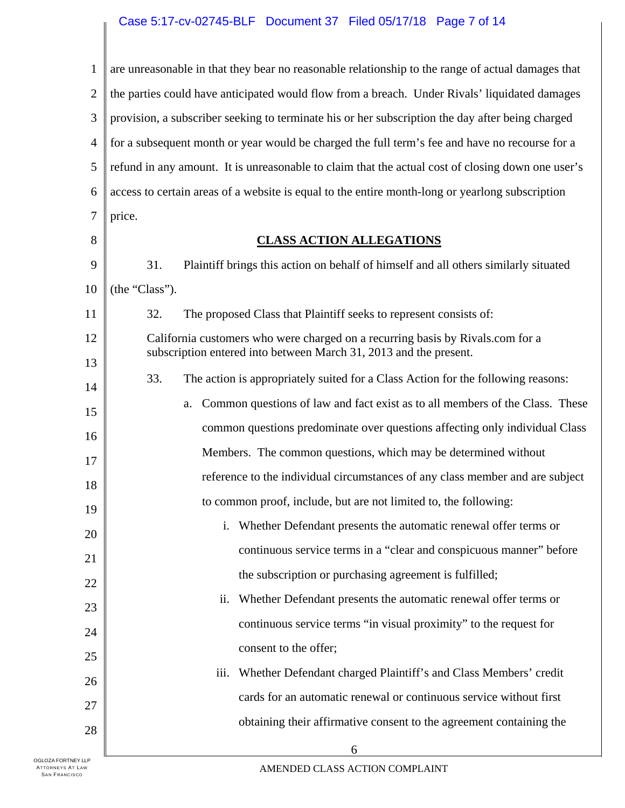### Case 5:17-cv-02745-BLF Document 37 Filed 05/17/18 Page 7 of 14

| $\mathbf{1}$   | are unreasonable in that they bear no reasonable relationship to the range of actual damages that |  |  |
|----------------|---------------------------------------------------------------------------------------------------|--|--|
| $\overline{2}$ | the parties could have anticipated would flow from a breach. Under Rivals' liquidated damages     |  |  |
| 3              | provision, a subscriber seeking to terminate his or her subscription the day after being charged  |  |  |
| 4              | for a subsequent month or year would be charged the full term's fee and have no recourse for a    |  |  |
| 5              | refund in any amount. It is unreasonable to claim that the actual cost of closing down one user's |  |  |
| 6              | access to certain areas of a website is equal to the entire month-long or yearlong subscription   |  |  |
| 7              | price.                                                                                            |  |  |
| 8              | <b>CLASS ACTION ALLEGATIONS</b>                                                                   |  |  |
| 9              | 31.<br>Plaintiff brings this action on behalf of himself and all others similarly situated        |  |  |
| 10             | (the "Class").                                                                                    |  |  |
| 11             | The proposed Class that Plaintiff seeks to represent consists of:<br>32.                          |  |  |
| 12             | California customers who were charged on a recurring basis by Rivals.com for a                    |  |  |
| 13             | subscription entered into between March 31, 2013 and the present.                                 |  |  |
| 14             | 33.<br>The action is appropriately suited for a Class Action for the following reasons:           |  |  |
| 15             | Common questions of law and fact exist as to all members of the Class. These<br>a.                |  |  |
| 16             | common questions predominate over questions affecting only individual Class                       |  |  |
| 17             | Members. The common questions, which may be determined without                                    |  |  |
| 18             | reference to the individual circumstances of any class member and are subject                     |  |  |
| 19             | to common proof, include, but are not limited to, the following:                                  |  |  |
| 20             | Whether Defendant presents the automatic renewal offer terms or                                   |  |  |
| 21             | continuous service terms in a "clear and conspicuous manner" before                               |  |  |
| 22             | the subscription or purchasing agreement is fulfilled;                                            |  |  |
| 23             | Whether Defendant presents the automatic renewal offer terms or<br>ii.                            |  |  |
| 24             | continuous service terms "in visual proximity" to the request for                                 |  |  |
| 25             | consent to the offer;                                                                             |  |  |
| 26             | iii.<br>Whether Defendant charged Plaintiff's and Class Members' credit                           |  |  |
| 27             | cards for an automatic renewal or continuous service without first                                |  |  |
| 28             | obtaining their affirmative consent to the agreement containing the                               |  |  |
| 11P            | 6                                                                                                 |  |  |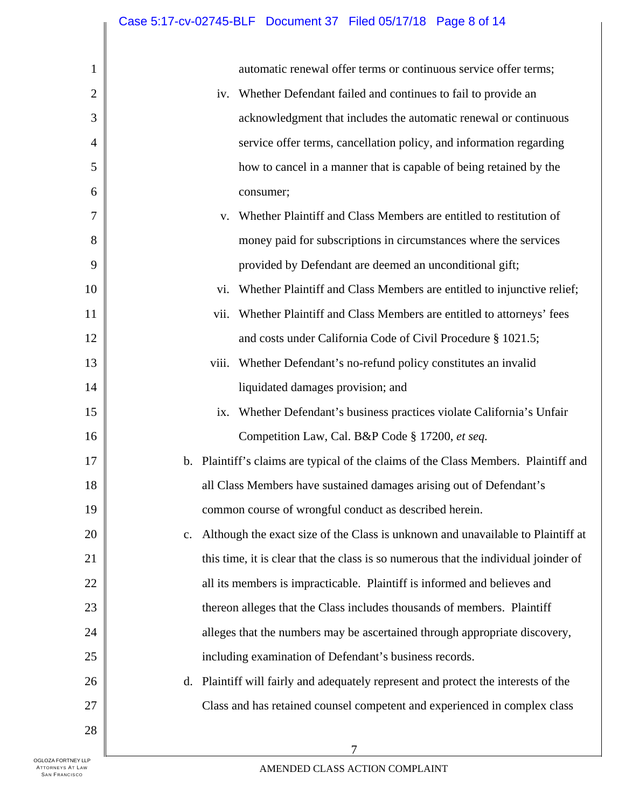| 1              | automatic renewal offer terms or continuous service offer terms;                                  |  |  |
|----------------|---------------------------------------------------------------------------------------------------|--|--|
| $\overline{2}$ | Whether Defendant failed and continues to fail to provide an<br>iv.                               |  |  |
| 3              | acknowledgment that includes the automatic renewal or continuous                                  |  |  |
| 4              | service offer terms, cancellation policy, and information regarding                               |  |  |
| 5              | how to cancel in a manner that is capable of being retained by the                                |  |  |
| 6              | consumer;                                                                                         |  |  |
| 7              | Whether Plaintiff and Class Members are entitled to restitution of<br>V.                          |  |  |
| 8              | money paid for subscriptions in circumstances where the services                                  |  |  |
| 9              | provided by Defendant are deemed an unconditional gift;                                           |  |  |
| 10             | Whether Plaintiff and Class Members are entitled to injunctive relief;<br>vi.                     |  |  |
| 11             | Whether Plaintiff and Class Members are entitled to attorneys' fees<br>vii.                       |  |  |
| 12             | and costs under California Code of Civil Procedure § 1021.5;                                      |  |  |
| 13             | Whether Defendant's no-refund policy constitutes an invalid<br>viii.                              |  |  |
| 14             | liquidated damages provision; and                                                                 |  |  |
| 15             | Whether Defendant's business practices violate California's Unfair<br>ix.                         |  |  |
| 16             | Competition Law, Cal. B&P Code § 17200, et seq.                                                   |  |  |
| 17             | b. Plaintiff's claims are typical of the claims of the Class Members. Plaintiff and               |  |  |
| 18             | all Class Members have sustained damages arising out of Defendant's                               |  |  |
| 19             | common course of wrongful conduct as described herein.                                            |  |  |
| 20             | Although the exact size of the Class is unknown and unavailable to Plaintiff at<br>$\mathbf{c}$ . |  |  |
| 21             | this time, it is clear that the class is so numerous that the individual joinder of               |  |  |
| 22             | all its members is impracticable. Plaintiff is informed and believes and                          |  |  |
| 23             | thereon alleges that the Class includes thousands of members. Plaintiff                           |  |  |
| 24             | alleges that the numbers may be ascertained through appropriate discovery,                        |  |  |
| 25             | including examination of Defendant's business records.                                            |  |  |
| 26             | Plaintiff will fairly and adequately represent and protect the interests of the<br>d.             |  |  |
| 27             | Class and has retained counsel competent and experienced in complex class                         |  |  |
| 28             |                                                                                                   |  |  |
|                | 7                                                                                                 |  |  |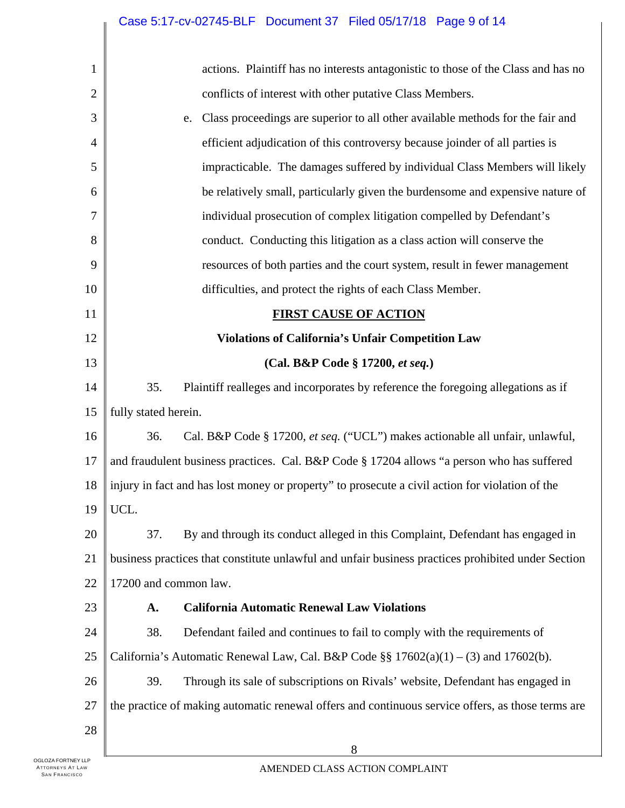| 1              | actions. Plaintiff has no interests antagonistic to those of the Class and has no                  |  |  |
|----------------|----------------------------------------------------------------------------------------------------|--|--|
| $\overline{2}$ | conflicts of interest with other putative Class Members.                                           |  |  |
| 3              | Class proceedings are superior to all other available methods for the fair and<br>e.               |  |  |
| 4              | efficient adjudication of this controversy because joinder of all parties is                       |  |  |
| 5              | impracticable. The damages suffered by individual Class Members will likely                        |  |  |
| 6              | be relatively small, particularly given the burdensome and expensive nature of                     |  |  |
| 7              | individual prosecution of complex litigation compelled by Defendant's                              |  |  |
| 8              | conduct. Conducting this litigation as a class action will conserve the                            |  |  |
| 9              | resources of both parties and the court system, result in fewer management                         |  |  |
| 10             | difficulties, and protect the rights of each Class Member.                                         |  |  |
| 11             | <b>FIRST CAUSE OF ACTION</b>                                                                       |  |  |
| 12             | <b>Violations of California's Unfair Competition Law</b>                                           |  |  |
| 13             | (Cal. B&P Code § 17200, et seq.)                                                                   |  |  |
| 14             | 35.<br>Plaintiff realleges and incorporates by reference the foregoing allegations as if           |  |  |
| 15             | fully stated herein.                                                                               |  |  |
| 16             | Cal. B&P Code § 17200, et seq. ("UCL") makes actionable all unfair, unlawful,<br>36.               |  |  |
| 17             | and fraudulent business practices. Cal. B&P Code § 17204 allows "a person who has suffered         |  |  |
| 18             | injury in fact and has lost money or property" to prosecute a civil action for violation of the    |  |  |
| 19             | $\parallel$ UCL.                                                                                   |  |  |
| 20             | By and through its conduct alleged in this Complaint, Defendant has engaged in<br>37.              |  |  |
| 21             | business practices that constitute unlawful and unfair business practices prohibited under Section |  |  |
| 22             | 17200 and common law.                                                                              |  |  |
| 23             | <b>California Automatic Renewal Law Violations</b><br>A.                                           |  |  |
| 24             | 38.<br>Defendant failed and continues to fail to comply with the requirements of                   |  |  |
| 25             | California's Automatic Renewal Law, Cal. B&P Code §§ $17602(a)(1) - (3)$ and $17602(b)$ .          |  |  |
| 26             | Through its sale of subscriptions on Rivals' website, Defendant has engaged in<br>39.              |  |  |
| 27             | the practice of making automatic renewal offers and continuous service offers, as those terms are  |  |  |
| 28             |                                                                                                    |  |  |
|                | 8                                                                                                  |  |  |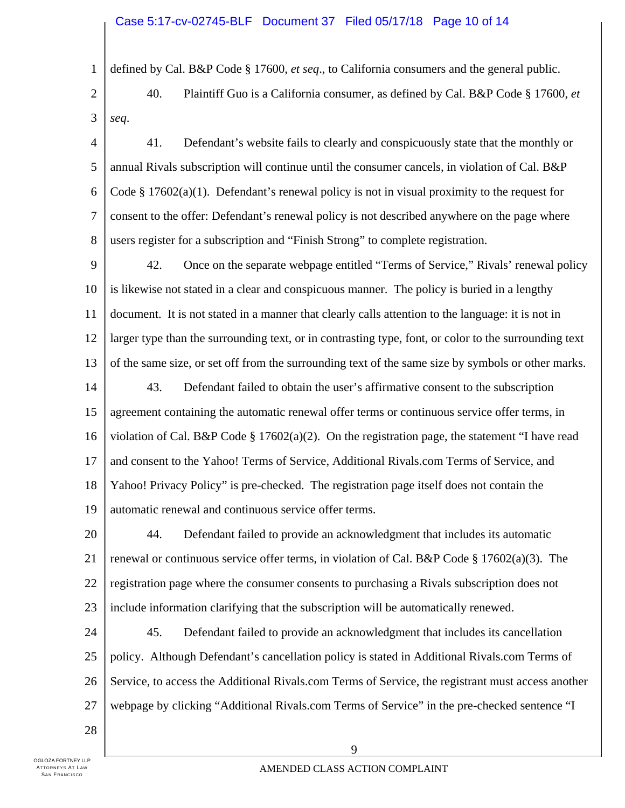#### Case 5:17-cv-02745-BLF Document 37 Filed 05/17/18 Page 10 of 14

1 defined by Cal. B&P Code § 17600, *et seq*., to California consumers and the general public.

- 2 3 40. Plaintiff Guo is a California consumer, as defined by Cal. B&P Code § 17600, *et seq*.
- 4 5 6 7 8 41. Defendant's website fails to clearly and conspicuously state that the monthly or annual Rivals subscription will continue until the consumer cancels, in violation of Cal. B&P Code  $\S 17602(a)(1)$ . Defendant's renewal policy is not in visual proximity to the request for consent to the offer: Defendant's renewal policy is not described anywhere on the page where users register for a subscription and "Finish Strong" to complete registration.
- 9 10 11 12 13 14 15 16 17 18 19 42. Once on the separate webpage entitled "Terms of Service," Rivals' renewal policy is likewise not stated in a clear and conspicuous manner. The policy is buried in a lengthy document. It is not stated in a manner that clearly calls attention to the language: it is not in larger type than the surrounding text, or in contrasting type, font, or color to the surrounding text of the same size, or set off from the surrounding text of the same size by symbols or other marks. 43. Defendant failed to obtain the user's affirmative consent to the subscription agreement containing the automatic renewal offer terms or continuous service offer terms, in violation of Cal. B&P Code § 17602(a)(2). On the registration page, the statement "I have read and consent to the Yahoo! Terms of Service, Additional Rivals.com Terms of Service, and Yahoo! Privacy Policy" is pre-checked. The registration page itself does not contain the automatic renewal and continuous service offer terms.
- 20 21 22 23 44. Defendant failed to provide an acknowledgment that includes its automatic renewal or continuous service offer terms, in violation of Cal. B&P Code  $\S 17602(a)(3)$ . The registration page where the consumer consents to purchasing a Rivals subscription does not include information clarifying that the subscription will be automatically renewed.
- 24 25 26 27 45. Defendant failed to provide an acknowledgment that includes its cancellation policy. Although Defendant's cancellation policy is stated in Additional Rivals.com Terms of Service, to access the Additional Rivals.com Terms of Service, the registrant must access another webpage by clicking "Additional Rivals.com Terms of Service" in the pre-checked sentence "I
- 28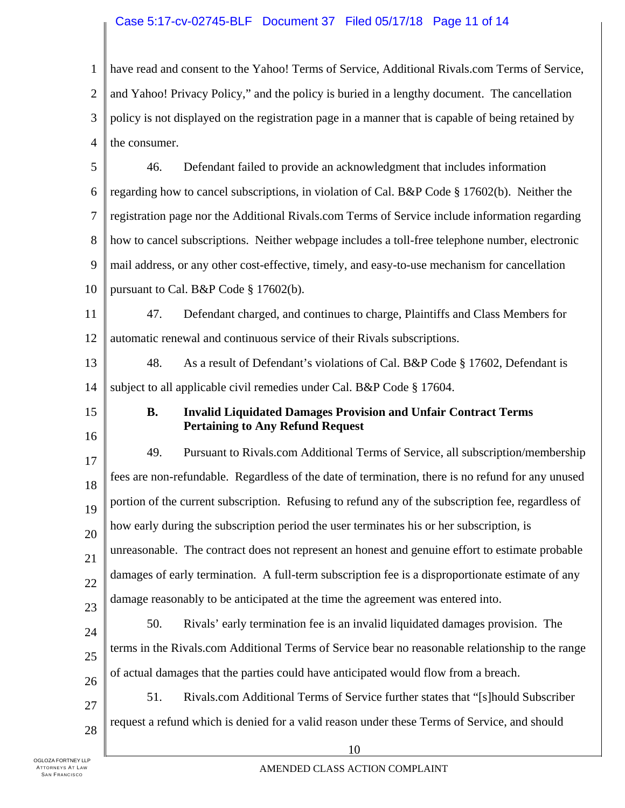#### Case 5:17-cv-02745-BLF Document 37 Filed 05/17/18 Page 11 of 14

1 2 3 4 5 6 have read and consent to the Yahoo! Terms of Service, Additional Rivals.com Terms of Service, and Yahoo! Privacy Policy," and the policy is buried in a lengthy document. The cancellation policy is not displayed on the registration page in a manner that is capable of being retained by the consumer. 46. Defendant failed to provide an acknowledgment that includes information regarding how to cancel subscriptions, in violation of Cal. B&P Code § 17602(b). Neither the

7 8 registration page nor the Additional Rivals.com Terms of Service include information regarding how to cancel subscriptions. Neither webpage includes a toll-free telephone number, electronic

9 mail address, or any other cost-effective, timely, and easy-to-use mechanism for cancellation

10 pursuant to Cal. B&P Code § 17602(b).

11 12 47. Defendant charged, and continues to charge, Plaintiffs and Class Members for automatic renewal and continuous service of their Rivals subscriptions.

13 14 48. As a result of Defendant's violations of Cal. B&P Code § 17602, Defendant is subject to all applicable civil remedies under Cal. B&P Code § 17604.

15

16

### **B. Invalid Liquidated Damages Provision and Unfair Contract Terms Pertaining to Any Refund Request**

17 18 19 20 21 22 23 24 49. Pursuant to Rivals.com Additional Terms of Service, all subscription/membership fees are non-refundable. Regardless of the date of termination, there is no refund for any unused portion of the current subscription. Refusing to refund any of the subscription fee, regardless of how early during the subscription period the user terminates his or her subscription, is unreasonable. The contract does not represent an honest and genuine effort to estimate probable damages of early termination. A full-term subscription fee is a disproportionate estimate of any damage reasonably to be anticipated at the time the agreement was entered into. 50. Rivals' early termination fee is an invalid liquidated damages provision. The

25 terms in the Rivals.com Additional Terms of Service bear no reasonable relationship to the range

26 of actual damages that the parties could have anticipated would flow from a breach.

27 28 51. Rivals.com Additional Terms of Service further states that "[s]hould Subscriber request a refund which is denied for a valid reason under these Terms of Service, and should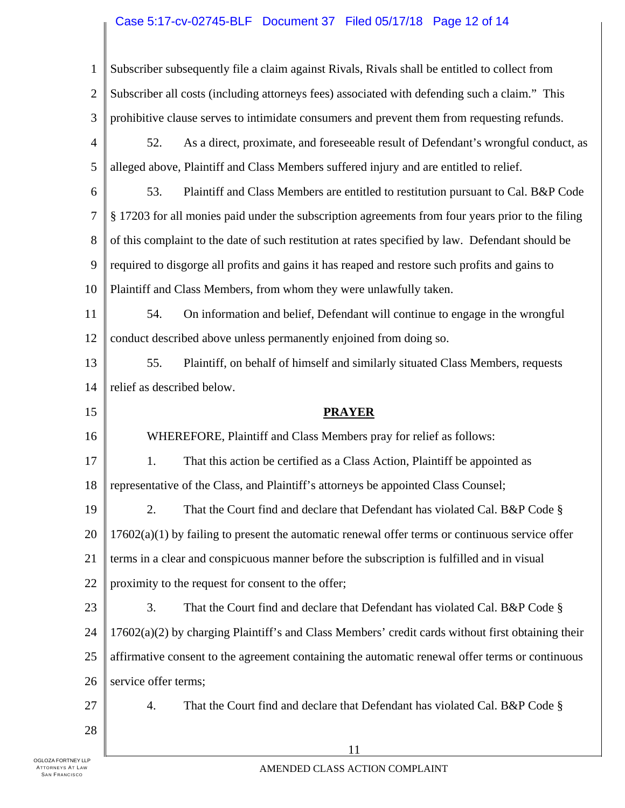# Case 5:17-cv-02745-BLF Document 37 Filed 05/17/18 Page 12 of 14

| $\mathbf{1}$   | Subscriber subsequently file a claim against Rivals, Rivals shall be entitled to collect from       |  |  |
|----------------|-----------------------------------------------------------------------------------------------------|--|--|
| $\mathbf{2}$   | Subscriber all costs (including attorneys fees) associated with defending such a claim." This       |  |  |
| 3              | prohibitive clause serves to intimidate consumers and prevent them from requesting refunds.         |  |  |
| $\overline{4}$ | As a direct, proximate, and foreseeable result of Defendant's wrongful conduct, as<br>52.           |  |  |
| 5              | alleged above, Plaintiff and Class Members suffered injury and are entitled to relief.              |  |  |
| 6              | Plaintiff and Class Members are entitled to restitution pursuant to Cal. B&P Code<br>53.            |  |  |
| 7              | § 17203 for all monies paid under the subscription agreements from four years prior to the filing   |  |  |
| 8              | of this complaint to the date of such restitution at rates specified by law. Defendant should be    |  |  |
| 9              | required to disgorge all profits and gains it has reaped and restore such profits and gains to      |  |  |
| 10             | Plaintiff and Class Members, from whom they were unlawfully taken.                                  |  |  |
| 11             | On information and belief, Defendant will continue to engage in the wrongful<br>54.                 |  |  |
| 12             | conduct described above unless permanently enjoined from doing so.                                  |  |  |
| 13             | Plaintiff, on behalf of himself and similarly situated Class Members, requests<br>55.               |  |  |
| 14             | relief as described below.                                                                          |  |  |
|                |                                                                                                     |  |  |
| 15             | <b>PRAYER</b>                                                                                       |  |  |
| 16             | WHEREFORE, Plaintiff and Class Members pray for relief as follows:                                  |  |  |
| 17             | That this action be certified as a Class Action, Plaintiff be appointed as<br>1.                    |  |  |
| 18             | representative of the Class, and Plaintiff's attorneys be appointed Class Counsel;                  |  |  |
| 19             | 2.<br>That the Court find and declare that Defendant has violated Cal. B&P Code §                   |  |  |
| 20             | $17602(a)(1)$ by failing to present the automatic renewal offer terms or continuous service offer   |  |  |
| 21             | terms in a clear and conspicuous manner before the subscription is fulfilled and in visual          |  |  |
| 22             | proximity to the request for consent to the offer;                                                  |  |  |
| 23             | 3.<br>That the Court find and declare that Defendant has violated Cal. B&P Code §                   |  |  |
| 24             | $17602(a)(2)$ by charging Plaintiff's and Class Members' credit cards without first obtaining their |  |  |
| 25             | affirmative consent to the agreement containing the automatic renewal offer terms or continuous     |  |  |
| 26             | service offer terms;                                                                                |  |  |
| 27             | 4.<br>That the Court find and declare that Defendant has violated Cal. B&P Code §                   |  |  |
| 28             |                                                                                                     |  |  |

 $\mathbb{L}$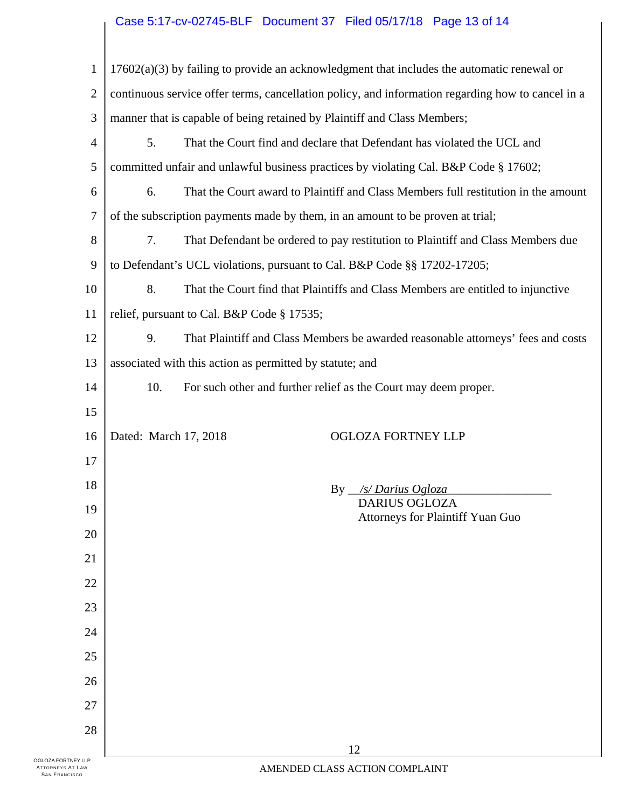## Case 5:17-cv-02745-BLF Document 37 Filed 05/17/18 Page 13 of 14

| $\mathbf{1}$   |                                                                          |                                            | $17602(a)(3)$ by failing to provide an acknowledgment that includes the automatic renewal or      |
|----------------|--------------------------------------------------------------------------|--------------------------------------------|---------------------------------------------------------------------------------------------------|
| $\overline{2}$ |                                                                          |                                            | continuous service offer terms, cancellation policy, and information regarding how to cancel in a |
| 3              |                                                                          |                                            | manner that is capable of being retained by Plaintiff and Class Members;                          |
| 4              | 5.                                                                       |                                            | That the Court find and declare that Defendant has violated the UCL and                           |
| 5              |                                                                          |                                            | committed unfair and unlawful business practices by violating Cal. B&P Code § 17602;              |
| 6              | 6.                                                                       |                                            | That the Court award to Plaintiff and Class Members full restitution in the amount                |
| $\overline{7}$ |                                                                          |                                            | of the subscription payments made by them, in an amount to be proven at trial;                    |
| 8              | 7.                                                                       |                                            | That Defendant be ordered to pay restitution to Plaintiff and Class Members due                   |
| 9              | to Defendant's UCL violations, pursuant to Cal. B&P Code §§ 17202-17205; |                                            |                                                                                                   |
| 10             | 8.                                                                       |                                            | That the Court find that Plaintiffs and Class Members are entitled to injunctive                  |
| 11             |                                                                          | relief, pursuant to Cal. B&P Code § 17535; |                                                                                                   |
| 12             | 9.                                                                       |                                            | That Plaintiff and Class Members be awarded reasonable attorneys' fees and costs                  |
| 13             | associated with this action as permitted by statute; and                 |                                            |                                                                                                   |
| 14             | 10.                                                                      |                                            | For such other and further relief as the Court may deem proper.                                   |
| 15             |                                                                          |                                            |                                                                                                   |
| 16             | Dated: March 17, 2018                                                    |                                            | <b>OGLOZA FORTNEY LLP</b>                                                                         |
| 17             |                                                                          |                                            |                                                                                                   |
| 18             |                                                                          |                                            | By $\frac{1}{s}$ Darius Ogloza                                                                    |
| 19             |                                                                          |                                            | <b>DARIUS OGLOZA</b><br>Attorneys for Plaintiff Yuan Guo                                          |
| 20             |                                                                          |                                            |                                                                                                   |
| 21             |                                                                          |                                            |                                                                                                   |
| 22             |                                                                          |                                            |                                                                                                   |
| 23             |                                                                          |                                            |                                                                                                   |
| 24             |                                                                          |                                            |                                                                                                   |
| 25             |                                                                          |                                            |                                                                                                   |
| 26             |                                                                          |                                            |                                                                                                   |
| 27             |                                                                          |                                            |                                                                                                   |
| 28             |                                                                          |                                            |                                                                                                   |
| 'LLP           |                                                                          |                                            | 12                                                                                                |